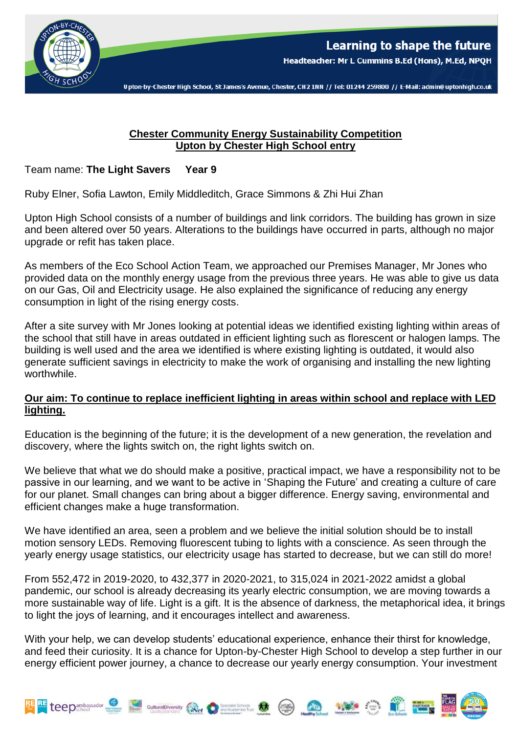

Upton-by-Chester High School, St James's Avenue, Chester, CH2 1NN // Tel: 01244 259800 // E-Mail: admin@uptonhigh.co.uk

## **Chester Community Energy Sustainability Competition Upton by Chester High School entry**

Team name: **The Light Savers Year 9** 

Ruby Elner, Sofia Lawton, Emily Middleditch, Grace Simmons & Zhi Hui Zhan

Upton High School consists of a number of buildings and link corridors. The building has grown in size and been altered over 50 years. Alterations to the buildings have occurred in parts, although no major upgrade or refit has taken place.

As members of the Eco School Action Team, we approached our Premises Manager, Mr Jones who provided data on the monthly energy usage from the previous three years. He was able to give us data on our Gas, Oil and Electricity usage. He also explained the significance of reducing any energy consumption in light of the rising energy costs.

After a site survey with Mr Jones looking at potential ideas we identified existing lighting within areas of the school that still have in areas outdated in efficient lighting such as florescent or halogen lamps. The building is well used and the area we identified is where existing lighting is outdated, it would also generate sufficient savings in electricity to make the work of organising and installing the new lighting worthwhile.

## **Our aim: To continue to replace inefficient lighting in areas within school and replace with LED lighting.**

Education is the beginning of the future; it is the development of a new generation, the revelation and discovery, where the lights switch on, the right lights switch on.

We believe that what we do should make a positive, practical impact, we have a responsibility not to be passive in our learning, and we want to be active in 'Shaping the Future' and creating a culture of care for our planet. Small changes can bring about a bigger difference. Energy saving, environmental and efficient changes make a huge transformation.

We have identified an area, seen a problem and we believe the initial solution should be to install motion sensory LEDs. Removing fluorescent tubing to lights with a conscience. As seen through the yearly energy usage statistics, our electricity usage has started to decrease, but we can still do more!

From 552,472 in 2019-2020, to 432,377 in 2020-2021, to 315,024 in 2021-2022 amidst a global pandemic, our school is already decreasing its yearly electric consumption, we are moving towards a more sustainable way of life. Light is a gift. It is the absence of darkness, the metaphorical idea, it brings to light the joys of learning, and it encourages intellect and awareness.

With your help, we can develop students' educational experience, enhance their thirst for knowledge, and feed their curiosity. It is a chance for Upton-by-Chester High School to develop a step further in our energy efficient power journey, a chance to decrease our yearly energy consumption. Your investment

References to the Cutural Diversity (and the Cutural Diversity of the Cutural Diversity of the Cutural Diversity of the Cutural Diversity of the Cutural Diversity of the Cutural Diversity of the Cutural Diversity of the Cu